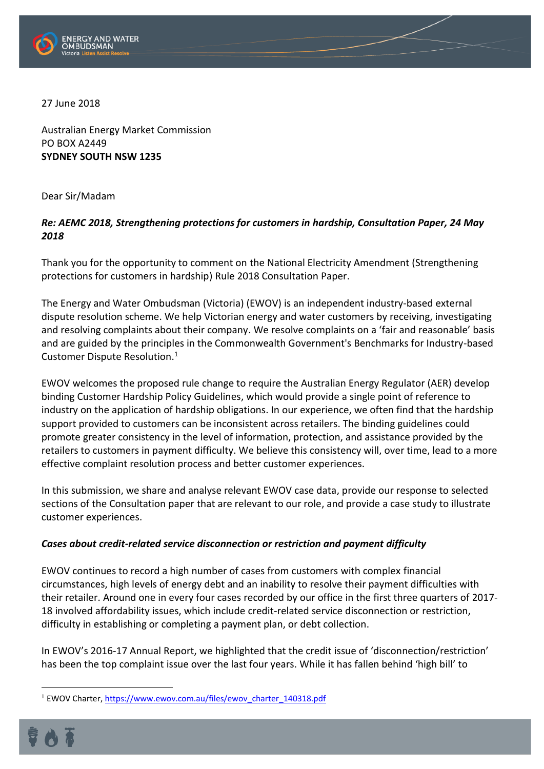

27 June 2018

Australian Energy Market Commission PO BOX A2449 **SYDNEY SOUTH NSW 1235**

Dear Sir/Madam

## *Re: AEMC 2018, Strengthening protections for customers in hardship, Consultation Paper, 24 May 2018*

Thank you for the opportunity to comment on the National Electricity Amendment (Strengthening protections for customers in hardship) Rule 2018 Consultation Paper.

The Energy and Water Ombudsman (Victoria) (EWOV) is an independent industry-based external dispute resolution scheme. We help Victorian energy and water customers by receiving, investigating and resolving complaints about their company. We resolve complaints on a 'fair and reasonable' basis and are guided by the principles in the Commonwealth Government's Benchmarks for Industry-based Customer Dispute Resolution. 1

EWOV welcomes the proposed rule change to require the Australian Energy Regulator (AER) develop binding Customer Hardship Policy Guidelines, which would provide a single point of reference to industry on the application of hardship obligations. In our experience, we often find that the hardship support provided to customers can be inconsistent across retailers. The binding guidelines could promote greater consistency in the level of information, protection, and assistance provided by the retailers to customers in payment difficulty. We believe this consistency will, over time, lead to a more effective complaint resolution process and better customer experiences.

In this submission, we share and analyse relevant EWOV case data, provide our response to selected sections of the Consultation paper that are relevant to our role, and provide a case study to illustrate customer experiences.

### *Cases about credit-related service disconnection or restriction and payment difficulty*

EWOV continues to record a high number of cases from customers with complex financial circumstances, high levels of energy debt and an inability to resolve their payment difficulties with their retailer. Around one in every four cases recorded by our office in the first three quarters of 2017- 18 involved affordability issues, which include credit-related service disconnection or restriction, difficulty in establishing or completing a payment plan, or debt collection.

In EWOV's 2016-17 Annual Report, we highlighted that the credit issue of 'disconnection/restriction' has been the top complaint issue over the last four years. While it has fallen behind 'high bill' to

<sup>&</sup>lt;sup>1</sup> EWOV Charter, [https://www.ewov.com.au/files/ewov\\_charter\\_140318.pdf](https://www.ewov.com.au/files/ewov_charter_140318.pdf)

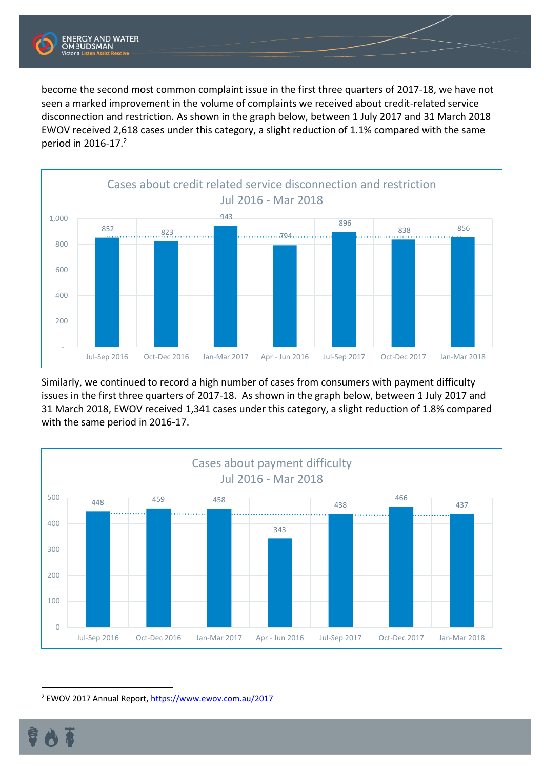

become the second most common complaint issue in the first three quarters of 2017-18, we have not seen a marked improvement in the volume of complaints we received about credit-related service disconnection and restriction. As shown in the graph below, between 1 July 2017 and 31 March 2018 EWOV received 2,618 cases under this category, a slight reduction of 1.1% compared with the same period in  $2016-17.<sup>2</sup>$ 



Similarly, we continued to record a high number of cases from consumers with payment difficulty issues in the first three quarters of 2017-18. As shown in the graph below, between 1 July 2017 and 31 March 2018, EWOV received 1,341 cases under this category, a slight reduction of 1.8% compared with the same period in 2016-17.



<sup>2</sup> EWOV 2017 Annual Report,<https://www.ewov.com.au/2017>

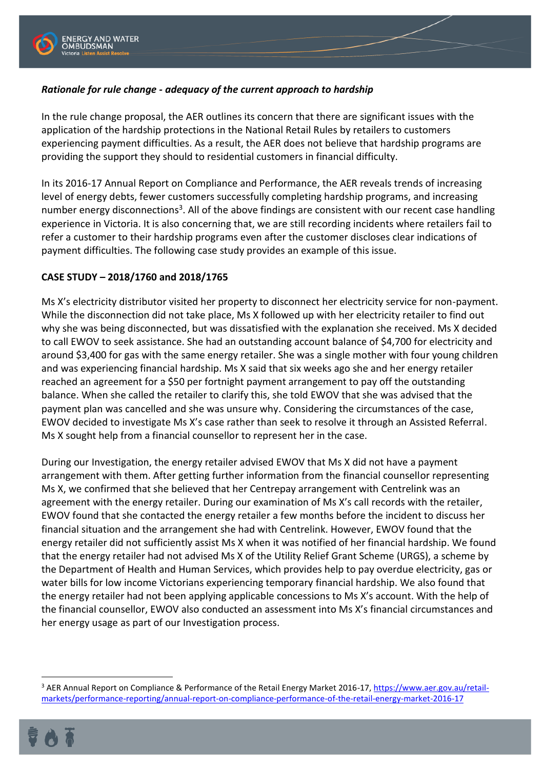

# *Rationale for rule change - adequacy of the current approach to hardship*

In the rule change proposal, the AER outlines its concern that there are significant issues with the application of the hardship protections in the National Retail Rules by retailers to customers experiencing payment difficulties. As a result, the AER does not believe that hardship programs are providing the support they should to residential customers in financial difficulty.

In its 2016-17 Annual Report on Compliance and Performance, the AER reveals trends of increasing level of energy debts, fewer customers successfully completing hardship programs, and increasing number energy disconnections<sup>3</sup>. All of the above findings are consistent with our recent case handling experience in Victoria. It is also concerning that, we are still recording incidents where retailers fail to refer a customer to their hardship programs even after the customer discloses clear indications of payment difficulties. The following case study provides an example of this issue.

### **CASE STUDY – 2018/1760 and 2018/1765**

Ms X's electricity distributor visited her property to disconnect her electricity service for non-payment. While the disconnection did not take place, Ms X followed up with her electricity retailer to find out why she was being disconnected, but was dissatisfied with the explanation she received. Ms X decided to call EWOV to seek assistance. She had an outstanding account balance of \$4,700 for electricity and around \$3,400 for gas with the same energy retailer. She was a single mother with four young children and was experiencing financial hardship. Ms X said that six weeks ago she and her energy retailer reached an agreement for a \$50 per fortnight payment arrangement to pay off the outstanding balance. When she called the retailer to clarify this, she told EWOV that she was advised that the payment plan was cancelled and she was unsure why. Considering the circumstances of the case, EWOV decided to investigate Ms X's case rather than seek to resolve it through an Assisted Referral. Ms X sought help from a financial counsellor to represent her in the case.

During our Investigation, the energy retailer advised EWOV that Ms X did not have a payment arrangement with them. After getting further information from the financial counsellor representing Ms X, we confirmed that she believed that her Centrepay arrangement with Centrelink was an agreement with the energy retailer. During our examination of Ms X's call records with the retailer, EWOV found that she contacted the energy retailer a few months before the incident to discuss her financial situation and the arrangement she had with Centrelink. However, EWOV found that the energy retailer did not sufficiently assist Ms X when it was notified of her financial hardship. We found that the energy retailer had not advised Ms X of the Utility Relief Grant Scheme (URGS), a scheme by the Department of Health and Human Services, which provides help to pay overdue electricity, gas or water bills for low income Victorians experiencing temporary financial hardship. We also found that the energy retailer had not been applying applicable concessions to Ms X's account. With the help of the financial counsellor, EWOV also conducted an assessment into Ms X's financial circumstances and her energy usage as part of our Investigation process.

<sup>&</sup>lt;sup>3</sup> AER Annual Report on Compliance & Performance of the Retail Energy Market 2016-17, [https://www.aer.gov.au/retail](https://www.aer.gov.au/retail-markets/performance-reporting/annual-report-on-compliance-performance-of-the-retail-energy-market-2016-17)[markets/performance-reporting/annual-report-on-compliance-performance-of-the-retail-energy-market-2016-17](https://www.aer.gov.au/retail-markets/performance-reporting/annual-report-on-compliance-performance-of-the-retail-energy-market-2016-17)

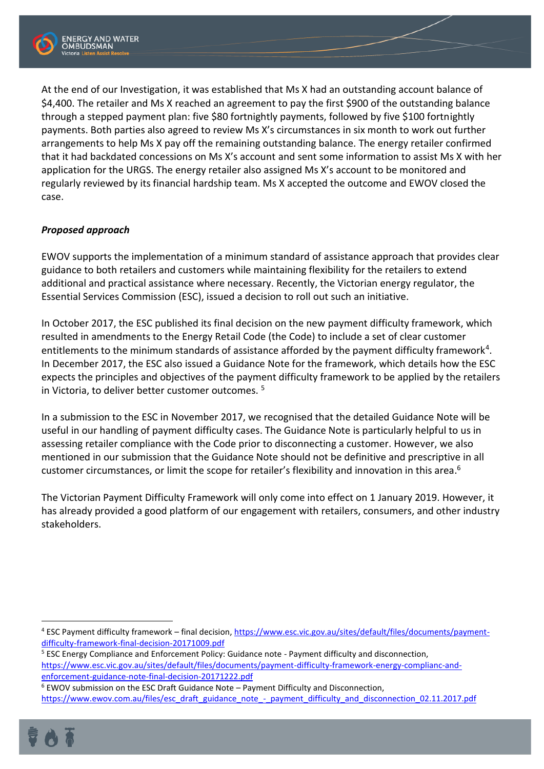

At the end of our Investigation, it was established that Ms X had an outstanding account balance of \$4,400. The retailer and Ms X reached an agreement to pay the first \$900 of the outstanding balance through a stepped payment plan: five \$80 fortnightly payments, followed by five \$100 fortnightly payments. Both parties also agreed to review Ms X's circumstances in six month to work out further arrangements to help Ms X pay off the remaining outstanding balance. The energy retailer confirmed that it had backdated concessions on Ms X's account and sent some information to assist Ms X with her application for the URGS. The energy retailer also assigned Ms X's account to be monitored and regularly reviewed by its financial hardship team. Ms X accepted the outcome and EWOV closed the case.

## *Proposed approach*

EWOV supports the implementation of a minimum standard of assistance approach that provides clear guidance to both retailers and customers while maintaining flexibility for the retailers to extend additional and practical assistance where necessary. Recently, the Victorian energy regulator, the Essential Services Commission (ESC), issued a decision to roll out such an initiative.

In October 2017, the ESC published its final decision on the new payment difficulty framework, which resulted in amendments to the Energy Retail Code (the Code) to include a set of clear customer entitlements to the minimum standards of assistance afforded by the payment difficulty framework<sup>4</sup>. In December 2017, the ESC also issued a Guidance Note for the framework, which details how the ESC expects the principles and objectives of the payment difficulty framework to be applied by the retailers in Victoria, to deliver better customer outcomes. <sup>5</sup>

In a submission to the ESC in November 2017, we recognised that the detailed Guidance Note will be useful in our handling of payment difficulty cases. The Guidance Note is particularly helpful to us in assessing retailer compliance with the Code prior to disconnecting a customer. However, we also mentioned in our submission that the Guidance Note should not be definitive and prescriptive in all customer circumstances, or limit the scope for retailer's flexibility and innovation in this area.<sup>6</sup>

The Victorian Payment Difficulty Framework will only come into effect on 1 January 2019. However, it has already provided a good platform of our engagement with retailers, consumers, and other industry stakeholders.

- <sup>5</sup> ESC Energy Compliance and Enforcement Policy: Guidance note Payment difficulty and disconnection, [https://www.esc.vic.gov.au/sites/default/files/documents/payment-difficulty-framework-energy-complianc-and](https://www.esc.vic.gov.au/sites/default/files/documents/payment-difficulty-framework-energy-complianc-and-enforcement-guidance-note-final-decision-20171222.pdf)[enforcement-guidance-note-final-decision-20171222.pdf](https://www.esc.vic.gov.au/sites/default/files/documents/payment-difficulty-framework-energy-complianc-and-enforcement-guidance-note-final-decision-20171222.pdf)
- <sup>6</sup> EWOV submission on the ESC Draft Guidance Note Payment Difficulty and Disconnection, [https://www.ewov.com.au/files/esc\\_draft\\_guidance\\_note\\_-\\_payment\\_difficulty\\_and\\_disconnection\\_02.11.2017.pdf](https://www.ewov.com.au/files/esc_draft_guidance_note_-_payment_difficulty_and_disconnection_02.11.2017.pdf)



<sup>4</sup> ESC Payment difficulty framework – final decision[, https://www.esc.vic.gov.au/sites/default/files/documents/payment](https://www.esc.vic.gov.au/sites/default/files/documents/payment-difficulty-framework-final-decision-20171009.pdf)[difficulty-framework-final-decision-20171009.pdf](https://www.esc.vic.gov.au/sites/default/files/documents/payment-difficulty-framework-final-decision-20171009.pdf)